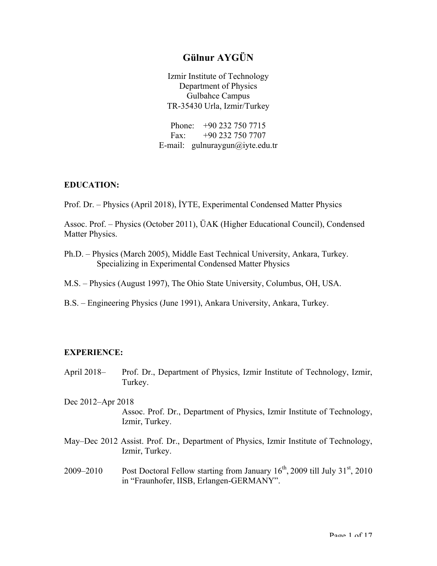# **Gülnur AYGÜN**

Izmir Institute of Technology Department of Physics Gulbahce Campus TR-35430 Urla, Izmir/Turkey

Phone: +90 232 750 7715 Fax: +90 232 750 7707 E-mail: gulnuraygun@iyte.edu.tr

#### **EDUCATION:**

Prof. Dr. – Physics (April 2018), İYTE, Experimental Condensed Matter Physics

Assoc. Prof. – Physics (October 2011), ÜAK (Higher Educational Council), Condensed Matter Physics.

- Ph.D. Physics (March 2005), Middle East Technical University, Ankara, Turkey. Specializing in Experimental Condensed Matter Physics
- M.S. Physics (August 1997), The Ohio State University, Columbus, OH, USA.
- B.S. Engineering Physics (June 1991), Ankara University, Ankara, Turkey.

#### **EXPERIENCE:**

- April 2018– Prof. Dr., Department of Physics, Izmir Institute of Technology, Izmir, Turkey.
- Dec 2012–Apr 2018 Assoc. Prof. Dr., Department of Physics, Izmir Institute of Technology, Izmir, Turkey.
- May–Dec 2012 Assist. Prof. Dr., Department of Physics, Izmir Institute of Technology, Izmir, Turkey.
- 2009–2010 Post Doctoral Fellow starting from January  $16^{th}$ , 2009 till July  $31^{st}$ , 2010 in "Fraunhofer, IISB, Erlangen-GERMANY".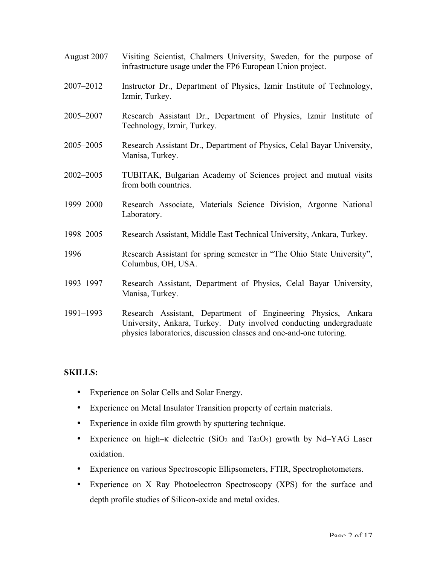- August 2007 Visiting Scientist, Chalmers University, Sweden, for the purpose of infrastructure usage under the FP6 European Union project.
- 2007–2012 Instructor Dr., Department of Physics, Izmir Institute of Technology, Izmir, Turkey.
- 2005–2007 Research Assistant Dr., Department of Physics, Izmir Institute of Technology, Izmir, Turkey.
- 2005–2005 Research Assistant Dr., Department of Physics, Celal Bayar University, Manisa, Turkey.
- 2002–2005 TUBITAK, Bulgarian Academy of Sciences project and mutual visits from both countries.
- 1999–2000 Research Associate, Materials Science Division, Argonne National Laboratory.
- 1998–2005 Research Assistant, Middle East Technical University, Ankara, Turkey.
- 1996 Research Assistant for spring semester in "The Ohio State University", Columbus, OH, USA.
- 1993–1997 Research Assistant, Department of Physics, Celal Bayar University, Manisa, Turkey.
- 1991–1993 Research Assistant, Department of Engineering Physics, Ankara University, Ankara, Turkey. Duty involved conducting undergraduate physics laboratories, discussion classes and one-and-one tutoring.

## **SKILLS:**

- Experience on Solar Cells and Solar Energy.
- Experience on Metal Insulator Transition property of certain materials.
- Experience in oxide film growth by sputtering technique.
- Experience on high–κ dielectric  $(SiO<sub>2</sub>$  and Ta<sub>2</sub>O<sub>5</sub>) growth by Nd–YAG Laser oxidation.
- Experience on various Spectroscopic Ellipsometers, FTIR, Spectrophotometers.
- Experience on X–Ray Photoelectron Spectroscopy (XPS) for the surface and depth profile studies of Silicon-oxide and metal oxides.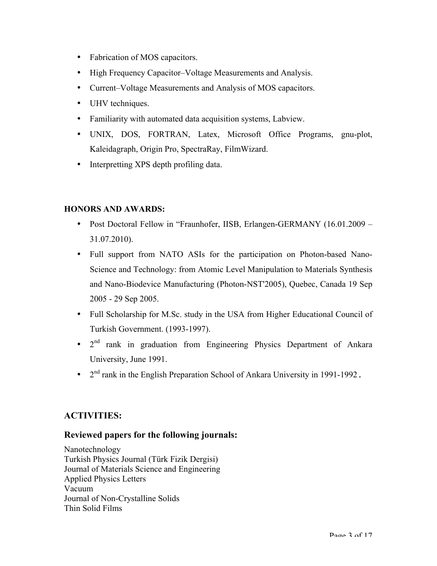- Fabrication of MOS capacitors.
- High Frequency Capacitor–Voltage Measurements and Analysis.
- Current–Voltage Measurements and Analysis of MOS capacitors.
- UHV techniques.
- Familiarity with automated data acquisition systems, Labview.
- UNIX, DOS, FORTRAN, Latex, Microsoft Office Programs, gnu-plot, Kaleidagraph, Origin Pro, SpectraRay, FilmWizard.
- Interpretting XPS depth profiling data.

## **HONORS AND AWARDS:**

- Post Doctoral Fellow in "Fraunhofer, IISB, Erlangen-GERMANY (16.01.2009 31.07.2010).
- Full support from NATO ASIs for the participation on Photon-based Nano-Science and Technology: from Atomic Level Manipulation to Materials Synthesis and Nano-Biodevice Manufacturing (Photon-NST'2005), Quebec, Canada 19 Sep 2005 - 29 Sep 2005.
- Full Scholarship for M.Sc. study in the USA from Higher Educational Council of Turkish Government. (1993-1997).
- 2nd rank in graduation from Engineering Physics Department of Ankara University, June 1991.
- $2<sup>nd</sup>$  rank in the English Preparation School of Ankara University in 1991-1992.

# **ACTIVITIES:**

## **Reviewed papers for the following journals:**

Nanotechnology Turkish Physics Journal (Türk Fizik Dergisi) Journal of Materials Science and Engineering Applied Physics Letters Vacuum Journal of Non-Crystalline Solids Thin Solid Films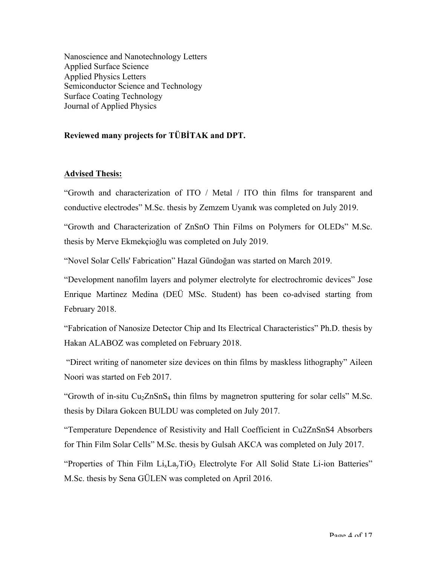Nanoscience and Nanotechnology Letters Applied Surface Science Applied Physics Letters Semiconductor Science and Technology Surface Coating Technology Journal of Applied Physics

### **Reviewed many projects for TÜBİTAK and DPT.**

#### **Advised Thesis:**

"Growth and characterization of ITO / Metal / ITO thin films for transparent and conductive electrodes" M.Sc. thesis by Zemzem Uyanık was completed on July 2019.

"Growth and Characterization of ZnSnO Thin Films on Polymers for OLEDs" M.Sc. thesis by Merve Ekmekçioğlu was completed on July 2019.

"Novel Solar Cells' Fabrication" Hazal Gündoğan was started on March 2019.

"Development nanofilm layers and polymer electrolyte for electrochromic devices" Jose Enrique Martinez Medina (DEÜ MSc. Student) has been co-advised starting from February 2018.

"Fabrication of Nanosize Detector Chip and Its Electrical Characteristics" Ph.D. thesis by Hakan ALABOZ was completed on February 2018.

"Direct writing of nanometer size devices on thin films by maskless lithography" Aileen Noori was started on Feb 2017.

"Growth of in-situ  $Cu<sub>2</sub>ZnSn<sub>4</sub>$  thin films by magnetron sputtering for solar cells" M.Sc. thesis by Dilara Gokcen BULDU was completed on July 2017.

"Temperature Dependence of Resistivity and Hall Coefficient in Cu2ZnSnS4 Absorbers for Thin Film Solar Cells" M.Sc. thesis by Gulsah AKCA was completed on July 2017.

"Properties of Thin Film  $Li_xLa_yTiO_3$  Electrolyte For All Solid State Li-ion Batteries" M.Sc. thesis by Sena GÜLEN was completed on April 2016.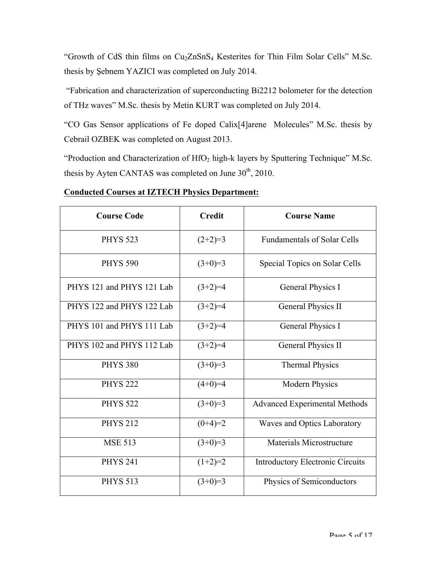"Growth of CdS thin films on Cu2ZnSnS4 Kesterites for Thin Film Solar Cells" M.Sc. thesis by Şebnem YAZICI was completed on July 2014.

"Fabrication and characterization of superconducting Bi2212 bolometer for the detection of THz waves" M.Sc. thesis by Metin KURT was completed on July 2014.

"CO Gas Sensor applications of Fe doped Calix[4]arene Molecules" M.Sc. thesis by Cebrail OZBEK was completed on August 2013.

"Production and Characterization of  $HfO<sub>2</sub>$  high-k layers by Sputtering Technique" M.Sc. thesis by Ayten CANTAS was completed on June  $30<sup>th</sup>$ , 2010.

| <b>Course Code</b>        | <b>Credit</b> | <b>Course Name</b>                      |
|---------------------------|---------------|-----------------------------------------|
| <b>PHYS 523</b>           | $(2+2)=3$     | <b>Fundamentals of Solar Cells</b>      |
| <b>PHYS 590</b>           | $(3+0)=3$     | Special Topics on Solar Cells           |
| PHYS 121 and PHYS 121 Lab | $(3+2)=4$     | General Physics I                       |
| PHYS 122 and PHYS 122 Lab | $(3+2)=4$     | General Physics II                      |
| PHYS 101 and PHYS 111 Lab | $(3+2)=4$     | General Physics I                       |
| PHYS 102 and PHYS 112 Lab | $(3+2)=4$     | General Physics II                      |
| <b>PHYS 380</b>           | $(3+0)=3$     | <b>Thermal Physics</b>                  |
| <b>PHYS 222</b>           | $(4+0)=4$     | <b>Modern Physics</b>                   |
| <b>PHYS 522</b>           | $(3+0)=3$     | <b>Advanced Experimental Methods</b>    |
| <b>PHYS 212</b>           | $(0+4)=2$     | Waves and Optics Laboratory             |
| <b>MSE 513</b>            | $(3+0)=3$     | Materials Microstructure                |
| <b>PHYS 241</b>           | $(1+2)=2$     | <b>Introductory Electronic Circuits</b> |
| <b>PHYS 513</b>           | $(3+0)=3$     | Physics of Semiconductors               |

# **Conducted Courses at IZTECH Physics Department:**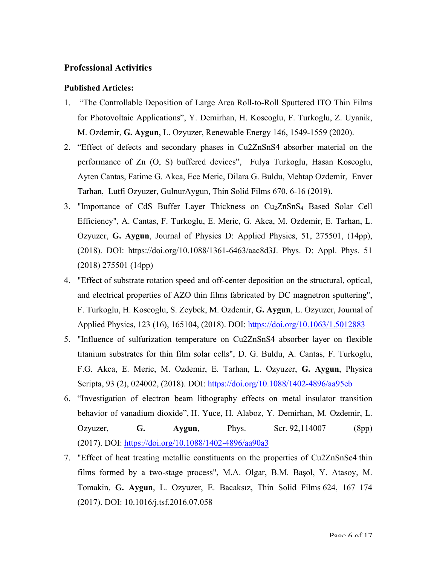## **Professional Activities**

#### **Published Articles:**

- 1. "The Controllable Deposition of Large Area Roll-to-Roll Sputtered ITO Thin Films for Photovoltaic Applications", Y. Demirhan, H. Koseoglu, F. Turkoglu, Z. Uyanik, M. Ozdemir, **G. Aygun**, L. Ozyuzer, Renewable Energy 146, 1549-1559 (2020).
- 2. "Effect of defects and secondary phases in Cu2ZnSnS4 absorber material on the performance of Zn (O, S) buffered devices", Fulya Turkoglu, Hasan Koseoglu, Ayten Cantas, Fatime G. Akca, Ece Meric, Dilara G. Buldu, Mehtap Ozdemir, Enver Tarhan, Lutfi Ozyuzer, GulnurAygun, Thin Solid Films 670, 6-16 (2019).
- 3. "Importance of CdS Buffer Layer Thickness on Cu<sub>2</sub>ZnSnS<sub>4</sub> Based Solar Cell Efficiency", A. Cantas, F. Turkoglu, E. Meric, G. Akca, M. Ozdemir, E. Tarhan, L. Ozyuzer, **G. Aygun**, Journal of Physics D: Applied Physics, 51, 275501, (14pp), (2018). DOI: https://doi.org/10.1088/1361-6463/aac8d3J. Phys. D: Appl. Phys. 51 (2018) 275501 (14pp)
- 4. "Effect of substrate rotation speed and off-center deposition on the structural, optical, and electrical properties of AZO thin films fabricated by DC magnetron sputtering", F. Turkoglu, H. Koseoglu, S. Zeybek, M. Ozdemir, **G. Aygun**, L. Ozyuzer, Journal of Applied Physics, 123 (16), 165104, (2018). DOI: https://doi.org/10.1063/1.5012883
- 5. "Influence of sulfurization temperature on Cu2ZnSnS4 absorber layer on flexible titanium substrates for thin film solar cells", D. G. Buldu, A. Cantas, F. Turkoglu, F.G. Akca, E. Meric, M. Ozdemir, E. Tarhan, L. Ozyuzer, **G. Aygun**, Physica Scripta, 93 (2), 024002, (2018). DOI: https://doi.org/10.1088/1402-4896/aa95eb
- 6. "Investigation of electron beam lithography effects on metal–insulator transition behavior of vanadium dioxide", H. Yuce, H. Alaboz, Y. Demirhan, M. Ozdemir, L. Ozyuzer, **G. Aygun**, Phys. Scr. 92,114007 (8pp) (2017). DOI: https://doi.org/10.1088/1402-4896/aa90a3
- 7. "Effect of heat treating metallic constituents on the properties of Cu2ZnSnSe4 thin films formed by a two-stage process", M.A. Olgar, B.M. Başol, Y. Atasoy, M. Tomakin, **G. Aygun**, L. Ozyuzer, E. Bacaksız, Thin Solid Films 624, 167–174 (2017). DOI: 10.1016/j.tsf.2016.07.058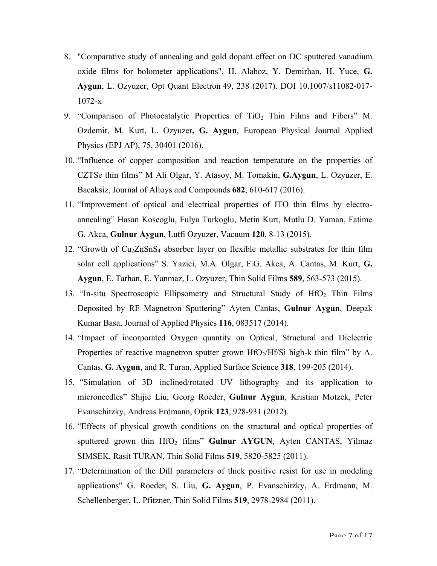- 8. "Comparative study of annealing and gold dopant effect on DC sputtered vanadium oxide films for bolometer applications", H. Alaboz, Y. Demirhan, H. Yuce, **G. Aygun**, L. Ozyuzer, Opt Quant Electron 49, 238 (2017). DOI 10.1007/s11082-017- 1072-x
- 9. "Comparison of Photocatalytic Properties of  $TiO<sub>2</sub>$  Thin Films and Fibers" M. Ozdemir, M. Kurt, L. Ozyuzer**, G. Aygun**, European Physical Journal Applied Physics (EPJ AP), 75, 30401 (2016).
- 10. "Influence of copper composition and reaction temperature on the properties of CZTSe thin films" M Ali Olgar, Y. Atasoy, M. Tomakin, **G.Aygun**, L. Ozyuzer, E. Bacaksiz, Journal of Alloys and Compounds **682**, 610-617 (2016).
- 11. "Improvement of optical and electrical properties of ITO thin films by electroannealing" Hasan Koseoglu, Fulya Turkoglu, Metin Kurt, Mutlu D. Yaman, Fatime G. Akca, **Gulnur Aygun**, Lutfi Ozyuzer, Vacuum **120**, 8-13 (2015).
- 12. "Growth of Cu2ZnSnS4 absorber layer on flexible metallic substrates for thin film solar cell applications" S. Yazici, M.A. Olgar, F.G. Akca, A. Cantas, M. Kurt, **G. Aygun**, E. Tarhan, E. Yanmaz, L. Ozyuzer, Thin Solid Films **589**, 563-573 (2015).
- 13. "In-situ Spectroscopic Ellipsometry and Structural Study of  $HfO<sub>2</sub>$  Thin Films Deposited by RF Magnetron Sputtering" Ayten Cantas, **Gulnur Aygun**, Deepak Kumar Basa, Journal of Applied Physics **116**, 083517 (2014).
- 14. "Impact of incorporated Oxygen quantity on Optical, Structural and Dielectric Properties of reactive magnetron sputter grown  $HfO<sub>2</sub>/Hf/Si$  high-k thin film" by A. Cantas, **G. Aygun**, and R. Turan, Applied Surface Science **318**, 199-205 (2014).
- 15. "Simulation of 3D inclined/rotated UV lithography and its application to microneedles" Shijie Liu, Georg Roeder, **Gulnur Aygun**, Kristian Motzek, Peter Evanschitzky, Andreas Erdmann, Optik **123**, 928-931 (2012).
- 16. "Effects of physical growth conditions on the structural and optical properties of sputtered grown thin HfO<sub>2</sub> films" Gulnur AYGUN, Ayten CANTAS, Yilmaz SIMSEK, Rasit TURAN, Thin Solid Films **519**, 5820-5825 (2011).
- 17. "Determination of the Dill parameters of thick positive resist for use in modeling applications" G. Roeder, S. Liu, **G. Aygun**, P. Evanschitzky, A. Erdmann, M. Schellenberger, L. Pfitzner, Thin Solid Films **519**, 2978-2984 (2011).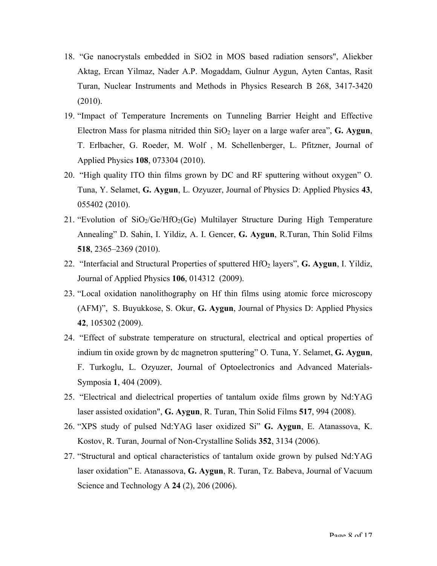- 18. "Ge nanocrystals embedded in SiO2 in MOS based radiation sensors", Aliekber Aktag, Ercan Yilmaz, Nader A.P. Mogaddam, Gulnur Aygun, Ayten Cantas, Rasit Turan, Nuclear Instruments and Methods in Physics Research B 268, 3417-3420 (2010).
- 19. "Impact of Temperature Increments on Tunneling Barrier Height and Effective Electron Mass for plasma nitrided thin  $SiO<sub>2</sub>$  layer on a large wafer area", **G. Aygun**, T. Erlbacher, G. Roeder, M. Wolf , M. Schellenberger, L. Pfitzner, Journal of Applied Physics **108**, 073304 (2010).
- 20. "High quality ITO thin films grown by DC and RF sputtering without oxygen" O. Tuna, Y. Selamet, **G. Aygun**, L. Ozyuzer, Journal of Physics D: Applied Physics **43**, 055402 (2010).
- 21. "Evolution of  $SiO<sub>2</sub>/Ge/HfO<sub>2</sub>(Ge)$  Multilayer Structure During High Temperature Annealing" D. Sahin, I. Yildiz, A. I. Gencer, **G. Aygun**, R.Turan, Thin Solid Films **518**, 2365–2369 (2010).
- 22. "Interfacial and Structural Properties of sputtered HfO2 layers", **G. Aygun**, I. Yildiz, Journal of Applied Physics **106**, 014312 (2009).
- 23. "Local oxidation nanolithography on Hf thin films using atomic force microscopy (AFM)", S. Buyukkose, S. Okur, **G. Aygun**, Journal of Physics D: Applied Physics **42**, 105302 (2009).
- 24. "Effect of substrate temperature on structural, electrical and optical properties of indium tin oxide grown by dc magnetron sputtering" O. Tuna, Y. Selamet, **G. Aygun**, F. Turkoglu, L. Ozyuzer, Journal of Optoelectronics and Advanced Materials-Symposia **1**, 404 (2009).
- 25. "Electrical and dielectrical properties of tantalum oxide films grown by Nd:YAG laser assisted oxidation", **G. Aygun**, R. Turan, Thin Solid Films **517**, 994 (2008).
- 26. "XPS study of pulsed Nd:YAG laser oxidized Si" **G. Aygun**, E. Atanassova, K. Kostov, R. Turan, Journal of Non-Crystalline Solids **352**, 3134 (2006).
- 27. "Structural and optical characteristics of tantalum oxide grown by pulsed Nd:YAG laser oxidation" E. Atanassova, **G. Aygun**, R. Turan, Tz. Babeva, Journal of Vacuum Science and Technology A **24** (2), 206 (2006).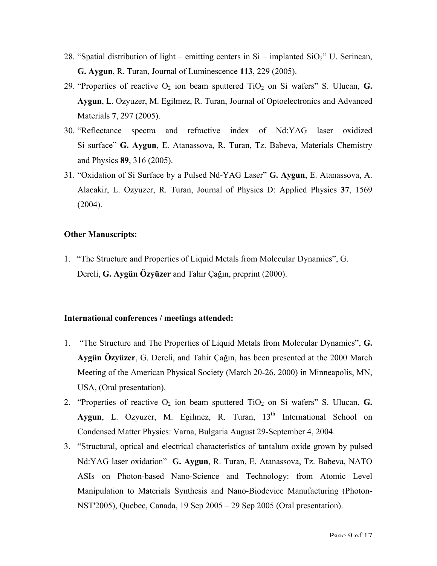- 28. "Spatial distribution of light emitting centers in  $Si$  implanted  $SiO<sub>2</sub>$ " U. Serincan, **G. Aygun**, R. Turan, Journal of Luminescence **113**, 229 (2005).
- 29. "Properties of reactive  $O_2$  ion beam sputtered  $TiO_2$  on Si wafers" S. Ulucan, **G. Aygun**, L. Ozyuzer, M. Egilmez, R. Turan, Journal of Optoelectronics and Advanced Materials **7**, 297 (2005).
- 30. "Reflectance spectra and refractive index of Nd:YAG laser oxidized Si surface" **G. Aygun**, E. Atanassova, R. Turan, Tz. Babeva, Materials Chemistry and Physics **89**, 316 (2005).
- 31. "Oxidation of Si Surface by a Pulsed Nd-YAG Laser" **G. Aygun**, E. Atanassova, A. Alacakir, L. Ozyuzer, R. Turan, Journal of Physics D: Applied Physics **37**, 1569  $(2004)$ .

#### **Other Manuscripts:**

1. "The Structure and Properties of Liquid Metals from Molecular Dynamics", G. Dereli, **G. Aygün Özyüzer** and Tahir Çağın, preprint (2000).

#### **International conferences / meetings attended:**

- 1. "The Structure and The Properties of Liquid Metals from Molecular Dynamics", **G. Aygün Özyüzer**, G. Dereli, and Tahir Çağın, has been presented at the 2000 March Meeting of the American Physical Society (March 20-26, 2000) in Minneapolis, MN, USA, (Oral presentation).
- 2. "Properties of reactive  $O_2$  ion beam sputtered  $TiO_2$  on Si wafers" S. Ulucan, **G.** Aygun, L. Ozyuzer, M. Egilmez, R. Turan, 13<sup>th</sup> International School on Condensed Matter Physics: Varna, Bulgaria August 29-September 4, 2004.
- 3. "Structural, optical and electrical characteristics of tantalum oxide grown by pulsed Nd:YAG laser oxidation" **G. Aygun**, R. Turan, E. Atanassova, Tz. Babeva, NATO ASIs on Photon-based Nano-Science and Technology: from Atomic Level Manipulation to Materials Synthesis and Nano-Biodevice Manufacturing (Photon-NST'2005), Quebec, Canada, 19 Sep 2005 – 29 Sep 2005 (Oral presentation).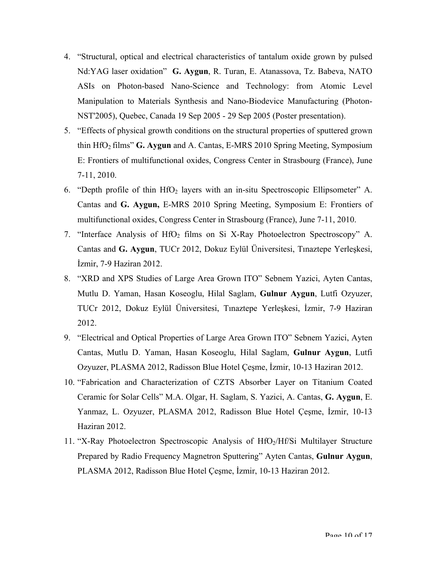- 4. "Structural, optical and electrical characteristics of tantalum oxide grown by pulsed Nd:YAG laser oxidation" **G. Aygun**, R. Turan, E. Atanassova, Tz. Babeva, NATO ASIs on Photon-based Nano-Science and Technology: from Atomic Level Manipulation to Materials Synthesis and Nano-Biodevice Manufacturing (Photon-NST'2005), Quebec, Canada 19 Sep 2005 - 29 Sep 2005 (Poster presentation).
- 5. "Effects of physical growth conditions on the structural properties of sputtered grown thin HfO2 films" **G. Aygun** and A. Cantas, E-MRS 2010 Spring Meeting, Symposium E: Frontiers of multifunctional oxides, Congress Center in Strasbourg (France), June 7-11, 2010.
- 6. "Depth profile of thin  $HfO<sub>2</sub>$  layers with an in-situ Spectroscopic Ellipsometer" A. Cantas and **G. Aygun,** E-MRS 2010 Spring Meeting, Symposium E: Frontiers of multifunctional oxides, Congress Center in Strasbourg (France), June 7-11, 2010.
- 7. "Interface Analysis of HfO<sub>2</sub> films on Si X-Ray Photoelectron Spectroscopy" A. Cantas and **G. Aygun**, TUCr 2012, Dokuz Eylül Üniversitesi, Tınaztepe Yerleşkesi, İzmir, 7-9 Haziran 2012.
- 8. "XRD and XPS Studies of Large Area Grown ITO" Sebnem Yazici, Ayten Cantas, Mutlu D. Yaman, Hasan Koseoglu, Hilal Saglam, **Gulnur Aygun**, Lutfi Ozyuzer, TUCr 2012, Dokuz Eylül Üniversitesi, Tınaztepe Yerleşkesi, İzmir, 7-9 Haziran 2012.
- 9. "Electrical and Optical Properties of Large Area Grown ITO" Sebnem Yazici, Ayten Cantas, Mutlu D. Yaman, Hasan Koseoglu, Hilal Saglam, **Gulnur Aygun**, Lutfi Ozyuzer, PLASMA 2012, Radisson Blue Hotel Çeşme, İzmir, 10-13 Haziran 2012.
- 10. "Fabrication and Characterization of CZTS Absorber Layer on Titanium Coated Ceramic for Solar Cells" M.A. Olgar, H. Saglam, S. Yazici, A. Cantas, **G. Aygun**, E. Yanmaz, L. Ozyuzer, PLASMA 2012, Radisson Blue Hotel Çeşme, İzmir, 10-13 Haziran 2012.
- 11. "X-Ray Photoelectron Spectroscopic Analysis of HfO<sub>2</sub>/Hf/Si Multilayer Structure Prepared by Radio Frequency Magnetron Sputtering" Ayten Cantas, **Gulnur Aygun**, PLASMA 2012, Radisson Blue Hotel Çeşme, İzmir, 10-13 Haziran 2012.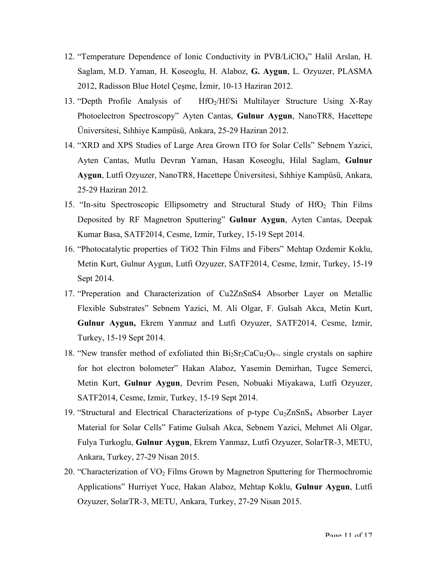- 12. "Temperature Dependence of Ionic Conductivity in PVB/LiClO4" Halil Arslan, H. Saglam, M.D. Yaman, H. Koseoglu, H. Alaboz, **G. Aygun**, L. Ozyuzer, PLASMA 2012, Radisson Blue Hotel Çeşme, İzmir, 10-13 Haziran 2012.
- 13. "Depth Profile Analysis of HfO<sub>2</sub>/Hf/Si Multilayer Structure Using X-Ray Photoelectron Spectroscopy" Ayten Cantas, **Gulnur Aygun**, NanoTR8, Hacettepe Üniversitesi, Sıhhiye Kampüsü, Ankara, 25-29 Haziran 2012.
- 14. "XRD and XPS Studies of Large Area Grown ITO for Solar Cells" Sebnem Yazici, Ayten Cantas, Mutlu Devran Yaman, Hasan Koseoglu, Hilal Saglam, **Gulnur Aygun**, Lutfi Ozyuzer, NanoTR8, Hacettepe Üniversitesi, Sıhhiye Kampüsü, Ankara, 25-29 Haziran 2012.
- 15. "In-situ Spectroscopic Ellipsometry and Structural Study of  $HfO<sub>2</sub>$  Thin Films Deposited by RF Magnetron Sputtering" **Gulnur Aygun**, Ayten Cantas, Deepak Kumar Basa, SATF2014, Cesme, Izmir, Turkey, 15-19 Sept 2014.
- 16. "Photocatalytic properties of TiO2 Thin Films and Fibers" Mehtap Ozdemir Koklu, Metin Kurt, Gulnur Aygun, Lutfi Ozyuzer, SATF2014, Cesme, Izmir, Turkey, 15-19 Sept 2014.
- 17. "Preperation and Characterization of Cu2ZnSnS4 Absorber Layer on Metallic Flexible Substrates" Sebnem Yazici, M. Ali Olgar, F. Gulsah Akca, Metin Kurt, **Gulnur Aygun,** Ekrem Yanmaz and Lutfi Ozyuzer, SATF2014, Cesme, Izmir, Turkey, 15-19 Sept 2014.
- 18. "New transfer method of exfoliated thin  $Bi_2Sr_2CaCu_2O_{8+}\$  single crystals on saphire for hot electron bolometer" Hakan Alaboz, Yasemin Demirhan, Tugce Semerci, Metin Kurt, **Gulnur Aygun**, Devrim Pesen, Nobuaki Miyakawa, Lutfi Ozyuzer, SATF2014, Cesme, Izmir, Turkey, 15-19 Sept 2014.
- 19. "Structural and Electrical Characterizations of p-type Cu<sub>2</sub>ZnSnS<sub>4</sub> Absorber Layer Material for Solar Cells" Fatime Gulsah Akca, Sebnem Yazici, Mehmet Ali Olgar, Fulya Turkoglu, **Gulnur Aygun**, Ekrem Yanmaz, Lutfi Ozyuzer, SolarTR-3, METU, Ankara, Turkey, 27-29 Nisan 2015.
- 20. "Characterization of  $VO<sub>2</sub>$  Films Grown by Magnetron Sputtering for Thermochromic Applications" Hurriyet Yuce, Hakan Alaboz, Mehtap Koklu, **Gulnur Aygun**, Lutfi Ozyuzer, SolarTR-3, METU, Ankara, Turkey, 27-29 Nisan 2015.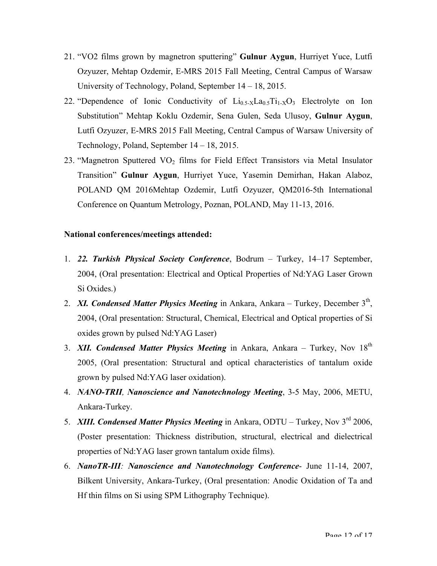- 21. "VO2 films grown by magnetron sputtering" **Gulnur Aygun**, Hurriyet Yuce, Lutfi Ozyuzer, Mehtap Ozdemir, E-MRS 2015 Fall Meeting, Central Campus of Warsaw University of Technology, Poland, September 14 – 18, 2015.
- 22. "Dependence of Ionic Conductivity of  $Li_{0.5}L_{0.5}Li_{1.5}O_3$  Electrolyte on Ion Substitution" Mehtap Koklu Ozdemir, Sena Gulen, Seda Ulusoy, **Gulnur Aygun**, Lutfi Ozyuzer, E-MRS 2015 Fall Meeting, Central Campus of Warsaw University of Technology, Poland, September 14 – 18, 2015.
- 23. "Magnetron Sputtered VO<sub>2</sub> films for Field Effect Transistors via Metal Insulator Transition" **Gulnur Aygun**, Hurriyet Yuce, Yasemin Demirhan, Hakan Alaboz, POLAND QM 2016Mehtap Ozdemir, Lutfi Ozyuzer, QM2016-5th International Conference on Quantum Metrology, Poznan, POLAND, May 11-13, 2016.

## **National conferences/meetings attended:**

- 1. *22. Turkish Physical Society Conference*, Bodrum Turkey, 14–17 September, 2004, (Oral presentation: Electrical and Optical Properties of Nd:YAG Laser Grown Si Oxides.)
- 2. *XI. Condensed Matter Physics Meeting* in Ankara, Ankara Turkey, December 3<sup>th</sup>, 2004, (Oral presentation: Structural, Chemical, Electrical and Optical properties of Si oxides grown by pulsed Nd:YAG Laser)
- 3. *XII. Condensed Matter Physics Meeting* in Ankara, Ankara Turkey, Nov 18<sup>th</sup> 2005, (Oral presentation: Structural and optical characteristics of tantalum oxide grown by pulsed Nd:YAG laser oxidation).
- 4. *NANO-TRII, Nanoscience and Nanotechnology Meeting*, 3-5 May, 2006, METU, Ankara-Turkey.
- 5. *XIII. Condensed Matter Physics Meeting* in Ankara, ODTU Turkey, Nov 3<sup>rd</sup> 2006, (Poster presentation: Thickness distribution, structural, electrical and dielectrical properties of Nd:YAG laser grown tantalum oxide films).
- 6. *NanoTR-III: Nanoscience and Nanotechnology Conference* June 11-14, 2007, Bilkent University, Ankara-Turkey, (Oral presentation: Anodic Oxidation of Ta and Hf thin films on Si using SPM Lithography Technique).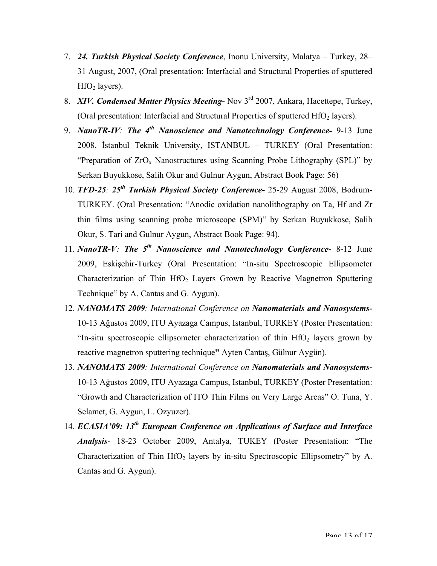- 7. *24. Turkish Physical Society Conference*, Inonu University, Malatya Turkey, 28– 31 August, 2007, (Oral presentation: Interfacial and Structural Properties of sputtered  $HfO<sub>2</sub>$  layers).
- 8. *XIV. Condensed Matter Physics Meeting***-** Nov 3rd 2007, Ankara, Hacettepe, Turkey, (Oral presentation: Interfacial and Structural Properties of sputtered  $HfO<sub>2</sub>$  layers).
- 9. *NanoTR-IV: The 4th Nanoscience and Nanotechnology Conference-* 9-13 June 2008, İstanbul Teknik University, ISTANBUL – TURKEY (Oral Presentation: "Preparation of  $ZrO<sub>x</sub>$  Nanostructures using Scanning Probe Lithography (SPL)" by Serkan Buyukkose, Salih Okur and Gulnur Aygun, Abstract Book Page: 56)
- 10. *TFD-25: 25th Turkish Physical Society Conference-* 25-29 August 2008, Bodrum-TURKEY. (Oral Presentation: "Anodic oxidation nanolithography on Ta, Hf and Zr thin films using scanning probe microscope (SPM)" by Serkan Buyukkose, Salih Okur, S. Tari and Gulnur Aygun, Abstract Book Page: 94).
- 11. *NanoTR-V: The 5th Nanoscience and Nanotechnology Conference-* 8-12 June 2009, Eskişehir-Turkey (Oral Presentation: "In-situ Spectroscopic Ellipsometer Characterization of Thin  $HfO<sub>2</sub>$  Layers Grown by Reactive Magnetron Sputtering Technique" by A. Cantas and G. Aygun).
- 12. *NANOMATS 2009: International Conference on Nanomaterials and Nanosystems-*10-13 Ağustos 2009, ITU Ayazaga Campus, Istanbul, TURKEY (Poster Presentation: "In-situ spectroscopic ellipsometer characterization of thin  $HfO<sub>2</sub>$  layers grown by reactive magnetron sputtering technique**"** Ayten Cantaş, Gülnur Aygün).
- 13. *NANOMATS 2009: International Conference on Nanomaterials and Nanosystems***-**10-13 Ağustos 2009, ITU Ayazaga Campus, Istanbul, TURKEY (Poster Presentation: "Growth and Characterization of ITO Thin Films on Very Large Areas" O. Tuna, Y. Selamet, G. Aygun, L. Ozyuzer).
- 14. *ECASIA'09: 13th European Conference on Applications of Surface and Interface Analysis*- 18-23 October 2009, Antalya, TUKEY (Poster Presentation: "The Characterization of Thin  $HfO<sub>2</sub>$  layers by in-situ Spectroscopic Ellipsometry" by A. Cantas and G. Aygun).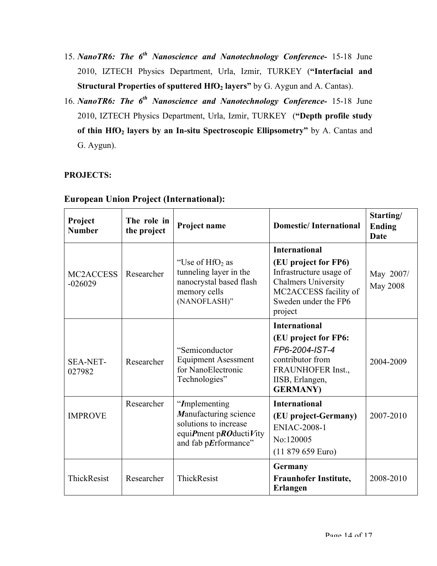- 15. *NanoTR6: The 6th Nanoscience and Nanotechnology Conference-* 15-18 June 2010, IZTECH Physics Department, Urla, Izmir, TURKEY (**"Interfacial and Structural Properties of sputtered HfO<sub>2</sub> layers"** by G. Aygun and A. Cantas).
- 16. *NanoTR6: The 6<sup>th</sup> Nanoscience and Nanotechnology Conference-* 15-18 June 2010, IZTECH Physics Department, Urla, Izmir, TURKEY (**"Depth profile study**  of thin HfO<sub>2</sub> layers by an In-situ Spectroscopic Ellipsometry" by A. Cantas and G. Aygun).

## **PROJECTS:**

| Project<br><b>Number</b>            | The role in<br>the project | Project name                                                                                                       | <b>Domestic/International</b>                                                                                                                                     | Starting/<br><b>Ending</b><br><b>Date</b> |
|-------------------------------------|----------------------------|--------------------------------------------------------------------------------------------------------------------|-------------------------------------------------------------------------------------------------------------------------------------------------------------------|-------------------------------------------|
| MC <sub>2</sub> ACCESS<br>$-026029$ | Researcher                 | "Use of $HfO2$ as<br>tunneling layer in the<br>nanocrystal based flash<br>memory cells<br>(NANOFLASH)"             | <b>International</b><br>(EU project for FP6)<br>Infrastructure usage of<br><b>Chalmers University</b><br>MC2ACCESS facility of<br>Sweden under the FP6<br>project | May 2007/<br><b>May 2008</b>              |
| <b>SEA-NET-</b><br>027982           | Researcher                 | "Semiconductor"<br><b>Equipment Asessment</b><br>for NanoElectronic<br>Technologies"                               | <b>International</b><br>(EU project for FP6:<br>FP6-2004-IST-4<br>contributor from<br>FRAUNHOFER Inst.,<br>IISB, Erlangen,<br><b>GERMANY</b> )                    | 2004-2009                                 |
| <b>IMPROVE</b>                      | Researcher                 | "Implementing"<br>Manufacturing science<br>solutions to increase<br>equiPment pROductiVity<br>and fab pErformance" | <b>International</b><br>(EU project-Germany)<br><b>ENIAC-2008-1</b><br>No:120005<br>(11 879 659 Euro)                                                             | 2007-2010                                 |
| ThickResist                         | Researcher                 | ThickResist                                                                                                        | Germany<br><b>Fraunhofer Institute,</b><br><b>Erlangen</b>                                                                                                        | 2008-2010                                 |

# **European Union Project (International):**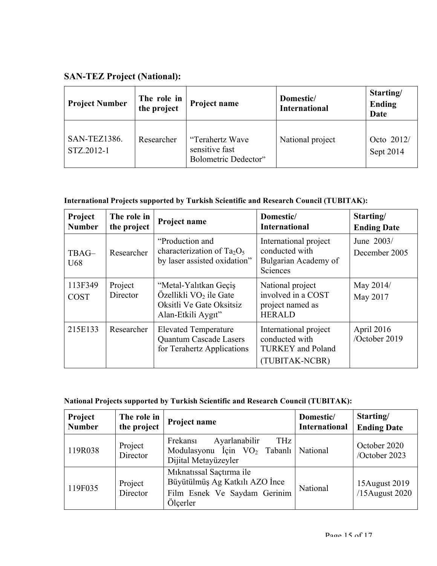# **SAN-TEZ Project (National):**

| <b>Project Number</b>             | The role in<br>the project | Project name                                              | Domestic/<br><b>International</b> | Starting/<br><b>Ending</b><br><b>Date</b> |
|-----------------------------------|----------------------------|-----------------------------------------------------------|-----------------------------------|-------------------------------------------|
| <b>SAN-TEZ1386.</b><br>STZ.2012-1 | Researcher                 | "Terahertz Wave<br>sensitive fast<br>Bolometric Dedector" | National project                  | Octo 2012/<br>Sept 2014                   |

# **International Projects supported by Turkish Scientific and Research Council (TUBITAK):**

| Project<br><b>Number</b> | The role in<br>the project | Project name                                                                                                  | Domestic/<br><b>International</b>                                                     | Starting/<br><b>Ending Date</b> |
|--------------------------|----------------------------|---------------------------------------------------------------------------------------------------------------|---------------------------------------------------------------------------------------|---------------------------------|
| TBAG-<br>U <sub>68</sub> | Researcher                 | "Production and<br>characterization of Ta <sub>2</sub> O <sub>5</sub><br>by laser assisted oxidation"         | International project<br>conducted with<br>Bulgarian Academy of<br>Sciences           | June 2003/<br>December 2005     |
| 113F349<br><b>COST</b>   | Project<br>Director        | "Metal-Yalıtkan Geçiş<br>Özellikli VO <sub>2</sub> ile Gate<br>Oksitli Ve Gate Oksitsiz<br>Alan-Etkili Aygıt" | National project<br>involved in a COST<br>project named as<br><b>HERALD</b>           | May 2014/<br>May 2017           |
| 215E133                  | Researcher                 | <b>Elevated Temperature</b><br>Quantum Cascade Lasers<br>for Terahertz Applications                           | International project<br>conducted with<br><b>TURKEY</b> and Poland<br>(TUBITAK-NCBR) | April 2016<br>/October 2019     |

| <b>National Projects supported by Turkish Scientific and Research Council (TUBITAK):</b> |  |  |
|------------------------------------------------------------------------------------------|--|--|
|------------------------------------------------------------------------------------------|--|--|

| Project<br><b>Number</b> | The role in<br>the project | Project name                                                                                           | Domestic/<br><b>International</b> | Starting/<br><b>Ending Date</b> |
|--------------------------|----------------------------|--------------------------------------------------------------------------------------------------------|-----------------------------------|---------------------------------|
| 119R038                  | Project<br>Director        | Ayarlanabilir<br>THz<br>Frekansi<br>Modulasyonu İçin $VO2$ Tabanlı National<br>Dijital Metayüzeyler    |                                   | October 2020<br>/October 2023   |
| 119F035                  | Project<br>Director        | Miknatissal Saçtırma ile<br>Büyütülmüş Ag Katkılı AZO İnce<br>Film Esnek Ve Saydam Gerinim<br>Ölçerler | National                          | 15August 2019<br>/15August 2020 |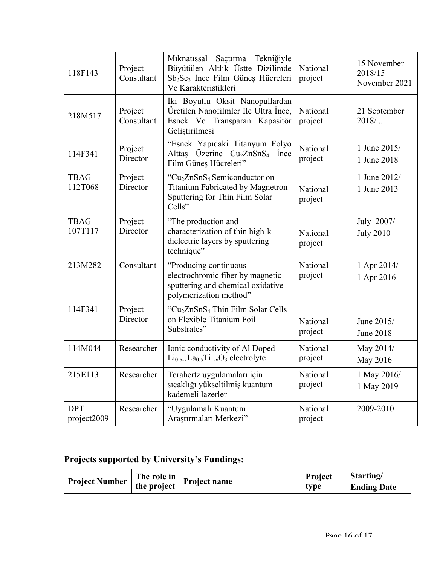| 118F143                   | Project<br>Consultant | Mıknatıssal Saçtırma<br>Tekniğiyle<br>Büyütülen Altlık Üstte Dizilimde<br>Sb <sub>2</sub> Se <sub>3</sub> Ince Film Güneş Hücreleri<br>Ve Karakteristikleri | National<br>project | 15 November<br>2018/15<br>November 2021 |
|---------------------------|-----------------------|-------------------------------------------------------------------------------------------------------------------------------------------------------------|---------------------|-----------------------------------------|
| 218M517                   | Project<br>Consultant | İki Boyutlu Oksit Nanopullardan<br>Üretilen Nanofilmler Ile Ultra İnce,<br>Esnek Ve Transparan Kapasitör<br>Geliştirilmesi                                  | National<br>project | 21 September<br>$2018/$                 |
| 114F341                   | Project<br>Director   | "Esnek Yapıdaki Titanyum Folyo<br>Alttas Üzerine Cu <sub>2</sub> ZnSnS <sub>4</sub> Ince<br>Film Güneş Hücreleri"                                           | National<br>project | 1 June 2015/<br>1 June 2018             |
| TBAG-<br>112T068          | Project<br>Director   | "Cu <sub>2</sub> ZnSnS <sub>4</sub> Semiconductor on<br><b>Titanium Fabricated by Magnetron</b><br>Sputtering for Thin Film Solar<br>Cells"                 | National<br>project | 1 June 2012/<br>1 June 2013             |
| TBAG-<br>107T117          | Project<br>Director   | "The production and<br>characterization of thin high-k<br>dielectric layers by sputtering<br>technique"                                                     | National<br>project | July 2007/<br><b>July 2010</b>          |
| 213M282                   | Consultant            | "Producing continuous<br>electrochromic fiber by magnetic<br>sputtering and chemical oxidative<br>polymerization method"                                    | National<br>project | 1 Apr 2014/<br>1 Apr 2016               |
| 114F341                   | Project<br>Director   | "Cu <sub>2</sub> ZnSnS <sub>4</sub> Thin Film Solar Cells<br>on Flexible Titanium Foil<br>Substrates"                                                       | National<br>project | June 2015/<br><b>June 2018</b>          |
| 114M044                   | Researcher            | Ionic conductivity of Al Doped<br>$Li_{0.5-x}La_{0.5}Ti_{1-x}O_3$ electrolyte                                                                               | National<br>project | May 2014/<br>May 2016                   |
| 215E113                   | Researcher            | Terahertz uygulamaları için<br>sıcaklığı yükseltilmiş kuantum<br>kademeli lazerler                                                                          | National<br>project | 1 May 2016/<br>1 May 2019               |
| <b>DPT</b><br>project2009 | Researcher            | "Uygulamalı Kuantum<br>Araştırmaları Merkezi"                                                                                                               | National<br>project | 2009-2010                               |

# **Projects supported by University's Fundings:**

| Project Number The role in Project name |  | Project | <i><b>Starting</b></i> |
|-----------------------------------------|--|---------|------------------------|
|                                         |  | type    | <b>Ending Date</b>     |